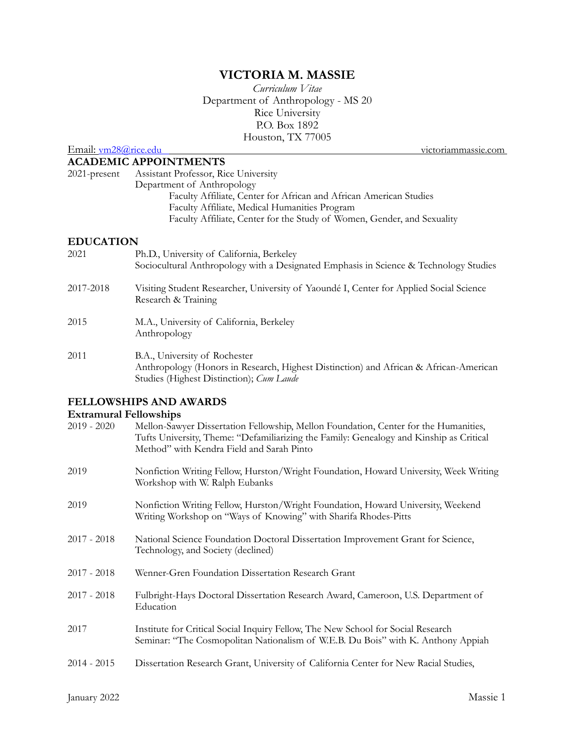# **VICTORIA M. MASSIE**

*Curriculum Vitae* Department of Anthropology - MS 20 Rice University P.O. Box 1892 Houston, TX 77005

Email: [vm28@rice.edu](http://www.apple.com) [victoriammassie.com](http://victoriammassie.com)

### **ACADEMIC APPOINTMENTS**

| $2021$ -present  | <b>Assistant Professor, Rice University</b>                             |
|------------------|-------------------------------------------------------------------------|
|                  | Department of Anthropology                                              |
|                  | Faculty Affiliate, Center for African and African American Studies      |
|                  | Faculty Affiliate, Medical Humanities Program                           |
|                  | Faculty Affiliate, Center for the Study of Women, Gender, and Sexuality |
| <b>EDUCATION</b> |                                                                         |

| 2021                        | Ph.D., University of California, Berkeley<br>Sociocultural Anthropology with a Designated Emphasis in Science & Technology Studies |
|-----------------------------|------------------------------------------------------------------------------------------------------------------------------------|
| 2017-2018                   | Visiting Student Researcher, University of Yaoundé I, Center for Applied Social Science<br>Research & Training                     |
| 2015                        | M.A., University of California, Berkeley<br>Anthropology                                                                           |
| $\sim$ $\sim$ $\sim$ $\sim$ |                                                                                                                                    |

2011 B.A., University of Rochester Anthropology (Honors in Research, Highest Distinction) and African & African-American Studies (Highest Distinction); *Cum Laude*

## **FELLOWSHIPS AND AWARDS**

### **Extramural Fellowships**

| $2019 - 2020$ | Mellon-Sawyer Dissertation Fellowship, Mellon Foundation, Center for the Humanities,<br>Tufts University, Theme: "Defamiliarizing the Family: Genealogy and Kinship as Critical<br>Method" with Kendra Field and Sarah Pinto |
|---------------|------------------------------------------------------------------------------------------------------------------------------------------------------------------------------------------------------------------------------|
| 2019          | Nonfiction Writing Fellow, Hurston/Wright Foundation, Howard University, Week Writing<br>Workshop with W. Ralph Eubanks                                                                                                      |
| 2019          | Nonfiction Writing Fellow, Hurston/Wright Foundation, Howard University, Weekend<br>Writing Workshop on "Ways of Knowing" with Sharifa Rhodes-Pitts                                                                          |
| $2017 - 2018$ | National Science Foundation Doctoral Dissertation Improvement Grant for Science,<br>Technology, and Society (declined)                                                                                                       |
| 2017 - 2018   | Wenner-Gren Foundation Dissertation Research Grant                                                                                                                                                                           |
| $2017 - 2018$ | Fulbright-Hays Doctoral Dissertation Research Award, Cameroon, U.S. Department of<br>Education                                                                                                                               |
| 2017          | Institute for Critical Social Inquiry Fellow, The New School for Social Research<br>Seminar: "The Cosmopolitan Nationalism of W.E.B. Du Bois" with K. Anthony Appiah                                                         |
| $2014 - 2015$ | Dissertation Research Grant, University of California Center for New Racial Studies,                                                                                                                                         |
|               |                                                                                                                                                                                                                              |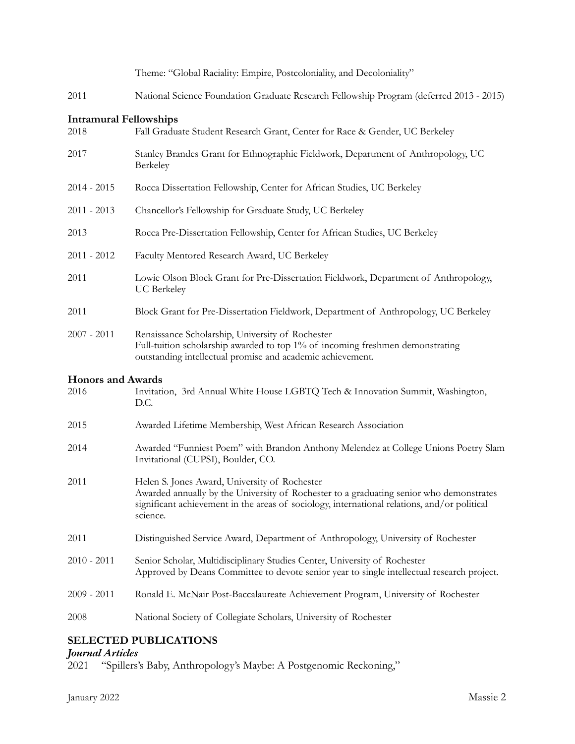|                                       | Theme: "Global Raciality: Empire, Postcoloniality, and Decoloniality"                                                                                                                                                                                |
|---------------------------------------|------------------------------------------------------------------------------------------------------------------------------------------------------------------------------------------------------------------------------------------------------|
| 2011                                  | National Science Foundation Graduate Research Fellowship Program (deferred 2013 - 2015)                                                                                                                                                              |
| <b>Intramural Fellowships</b><br>2018 | Fall Graduate Student Research Grant, Center for Race & Gender, UC Berkeley                                                                                                                                                                          |
| 2017                                  | Stanley Brandes Grant for Ethnographic Fieldwork, Department of Anthropology, UC<br>Berkeley                                                                                                                                                         |
| $2014 - 2015$                         | Rocca Dissertation Fellowship, Center for African Studies, UC Berkeley                                                                                                                                                                               |
| $2011 - 2013$                         | Chancellor's Fellowship for Graduate Study, UC Berkeley                                                                                                                                                                                              |
| 2013                                  | Rocca Pre-Dissertation Fellowship, Center for African Studies, UC Berkeley                                                                                                                                                                           |
| $2011 - 2012$                         | Faculty Mentored Research Award, UC Berkeley                                                                                                                                                                                                         |
| 2011                                  | Lowie Olson Block Grant for Pre-Dissertation Fieldwork, Department of Anthropology,<br><b>UC</b> Berkeley                                                                                                                                            |
| 2011                                  | Block Grant for Pre-Dissertation Fieldwork, Department of Anthropology, UC Berkeley                                                                                                                                                                  |
| $2007 - 2011$                         | Renaissance Scholarship, University of Rochester<br>Full-tuition scholarship awarded to top 1% of incoming freshmen demonstrating<br>outstanding intellectual promise and academic achievement.                                                      |
| <b>Honors and Awards</b><br>2016      | Invitation, 3rd Annual White House LGBTQ Tech & Innovation Summit, Washington,<br>D.C.                                                                                                                                                               |
| 2015                                  | Awarded Lifetime Membership, West African Research Association                                                                                                                                                                                       |
| 2014                                  | Awarded "Funniest Poem" with Brandon Anthony Melendez at College Unions Poetry Slam<br>Invitational (CUPSI), Boulder, CO.                                                                                                                            |
| 2011                                  | Helen S. Jones Award, University of Rochester<br>Awarded annually by the University of Rochester to a graduating senior who demonstrates<br>significant achievement in the areas of sociology, international relations, and/or political<br>science. |
| 2011                                  | Distinguished Service Award, Department of Anthropology, University of Rochester                                                                                                                                                                     |
| $2010 - 2011$                         | Senior Scholar, Multidisciplinary Studies Center, University of Rochester<br>Approved by Deans Committee to devote senior year to single intellectual research project.                                                                              |
| $2009 - 2011$                         | Ronald E. McNair Post-Baccalaureate Achievement Program, University of Rochester                                                                                                                                                                     |
| 2008                                  | National Society of Collegiate Scholars, University of Rochester                                                                                                                                                                                     |
|                                       |                                                                                                                                                                                                                                                      |

# **SELECTED PUBLICATIONS**

### *Journal Articles*

2021 "Spillers's Baby, Anthropology's Maybe: A Postgenomic Reckoning,"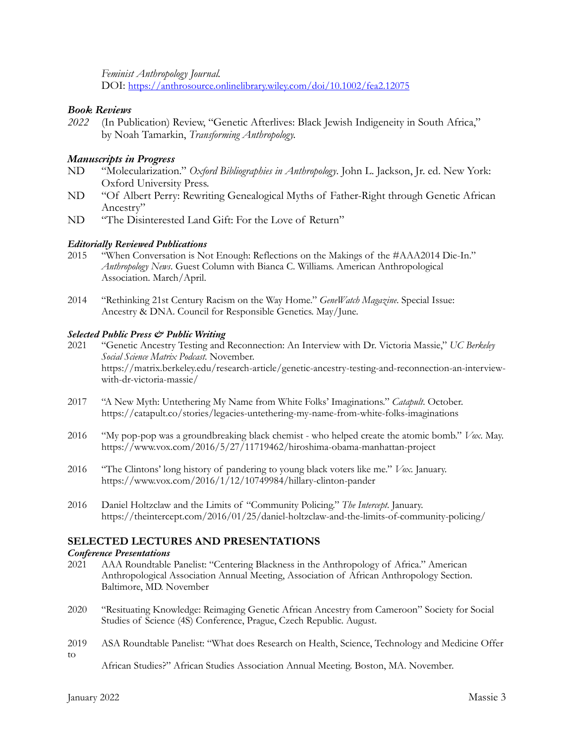*Feminist Anthropology Journal.*

DOI:<https://anthrosource.onlinelibrary.wiley.com/doi/10.1002/fea2.12075>

### *Book Reviews*

*2022* (In Publication) Review, "Genetic Afterlives: Black Jewish Indigeneity in South Africa," by Noah Tamarkin, *Transforming Anthropology.*

### *Manuscripts in Progress*

- ND "Molecularization." *Oxford Bibliographies in Anthropology*. John L. Jackson, Jr. ed. New York: Oxford University Press.
- ND "Of Albert Perry: Rewriting Genealogical Myths of Father-Right through Genetic African Ancestry"
- ND "The Disinterested Land Gift: For the Love of Return"

### *Editorially Reviewed Publications*

- 2015 "When Conversation is Not Enough: Reflections on the Makings of the #AAA2014 Die-In." *Anthropology News*. Guest Column with Bianca C. Williams. American Anthropological Association. March/April.
- 2014 "Rethinking 21st Century Racism on the Way Home." *GeneWatch Magazine*. Special Issue: Ancestry & DNA. Council for Responsible Genetics. May/June.

### *Selected Public Press & Public Writing*

- 2021 "Genetic Ancestry Testing and Reconnection: An Interview with Dr. Victoria Massie," *UC Berkeley Social Science Matrix Podcast*. November. https://matrix.berkeley.edu/research-article/genetic-ancestry-testing-and-reconnection-an-interviewwith-dr-victoria-massie/
- 2017 "A New Myth: Untethering My Name from White Folks' Imaginations." *Catapult*. October. <https://catapult.co/stories/legacies-untethering-my-name-from-white-folks-imaginations>
- 2016 "My pop-pop was a groundbreaking black chemist who helped create the atomic bomb." *Vox*. May. <https://www.vox.com/2016/5/27/11719462/hiroshima-obama-manhattan-project>
- 2016 "The Clintons' long history of pandering to young black voters like me." *Vox*. January. <https://www.vox.com/2016/1/12/10749984/hillary-clinton-pander>
- 2016 Daniel Holtzclaw and the Limits of "Community Policing." *The Intercept*. January. <https://theintercept.com/2016/01/25/daniel-holtzclaw-and-the-limits-of-community-policing/>

### **SELECTED LECTURES AND PRESENTATIONS**

#### *Conference Presentations*

- 2021 AAA Roundtable Panelist: "Centering Blackness in the Anthropology of Africa." American Anthropological Association Annual Meeting, Association of African Anthropology Section. Baltimore, MD. November
- 2020 "Resituating Knowledge: Reimaging Genetic African Ancestry from Cameroon" Society for Social Studies of Science (4S) Conference, Prague, Czech Republic. August.
- 2019 ASA Roundtable Panelist: "What does Research on Health, Science, Technology and Medicine Offer to

African Studies?" African Studies Association Annual Meeting. Boston, MA. November.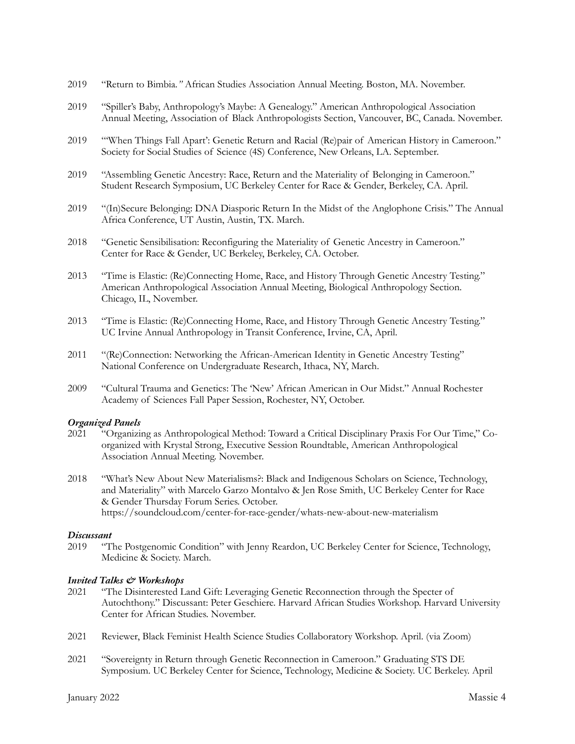- 2019 "Return to Bimbia*."* African Studies Association Annual Meeting. Boston, MA. November.
- 2019 "Spiller's Baby, Anthropology's Maybe: A Genealogy." American Anthropological Association Annual Meeting, Association of Black Anthropologists Section, Vancouver, BC, Canada. November.
- 2019 "'When Things Fall Apart': Genetic Return and Racial (Re)pair of American History in Cameroon." Society for Social Studies of Science (4S) Conference, New Orleans, LA. September.
- 2019 "Assembling Genetic Ancestry: Race, Return and the Materiality of Belonging in Cameroon." Student Research Symposium, UC Berkeley Center for Race & Gender, Berkeley, CA. April.
- 2019 "(In)Secure Belonging: DNA Diasporic Return In the Midst of the Anglophone Crisis." The Annual Africa Conference, UT Austin, Austin, TX. March.
- 2018 "Genetic Sensibilisation: Reconfiguring the Materiality of Genetic Ancestry in Cameroon." Center for Race & Gender, UC Berkeley, Berkeley, CA. October.
- 2013 "Time is Elastic: (Re)Connecting Home, Race, and History Through Genetic Ancestry Testing." American Anthropological Association Annual Meeting, Biological Anthropology Section. Chicago, IL, November.
- 2013 "Time is Elastic: (Re)Connecting Home, Race, and History Through Genetic Ancestry Testing." UC Irvine Annual Anthropology in Transit Conference, Irvine, CA, April.
- 2011 "(Re)Connection: Networking the African-American Identity in Genetic Ancestry Testing" National Conference on Undergraduate Research, Ithaca, NY, March.
- 2009 "Cultural Trauma and Genetics: The 'New' African American in Our Midst." Annual Rochester Academy of Sciences Fall Paper Session, Rochester, NY, October.

#### *Organized Panels*

- 2021 "Organizing as Anthropological Method: Toward a Critical Disciplinary Praxis For Our Time," Coorganized with Krystal Strong, Executive Session Roundtable, American Anthropological Association Annual Meeting. November.
- 2018 "What's New About New Materialisms?: Black and Indigenous Scholars on Science, Technology, and Materiality" with Marcelo Garzo Montalvo & Jen Rose Smith, UC Berkeley Center for Race & Gender Thursday Forum Series. October. <https://soundcloud.com/center-for-race-gender/whats-new-about-new-materialism>

#### *Discussant*

2019 "The Postgenomic Condition" with Jenny Reardon, UC Berkeley Center for Science, Technology, Medicine & Society. March.

#### *Invited Talks & Workshops*

- 2021 "The Disinterested Land Gift: Leveraging Genetic Reconnection through the Specter of Autochthony." Discussant: Peter Geschiere. Harvard African Studies Workshop. Harvard University Center for African Studies. November.
- 2021 Reviewer, Black Feminist Health Science Studies Collaboratory Workshop. April. (via Zoom)
- 2021 "Sovereignty in Return through Genetic Reconnection in Cameroon." Graduating STS DE Symposium. UC Berkeley Center for Science, Technology, Medicine & Society. UC Berkeley. April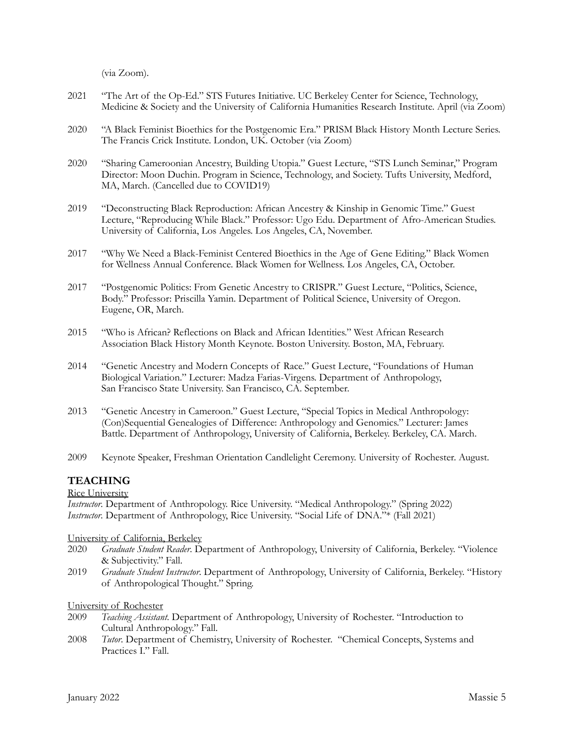(via Zoom).

- 2021 "The Art of the Op-Ed." STS Futures Initiative. UC Berkeley Center for Science, Technology, Medicine & Society and the University of California Humanities Research Institute. April (via Zoom)
- 2020 "A Black Feminist Bioethics for the Postgenomic Era." PRISM Black History Month Lecture Series. The Francis Crick Institute. London, UK. October (via Zoom)
- 2020 "Sharing Cameroonian Ancestry, Building Utopia." Guest Lecture, "STS Lunch Seminar," Program Director: Moon Duchin. Program in Science, Technology, and Society. Tufts University, Medford, MA, March. (Cancelled due to COVID19)
- 2019 "Deconstructing Black Reproduction: African Ancestry & Kinship in Genomic Time." Guest Lecture, "Reproducing While Black." Professor: Ugo Edu. Department of Afro-American Studies. University of California, Los Angeles. Los Angeles, CA, November.
- 2017 "Why We Need a Black-Feminist Centered Bioethics in the Age of Gene Editing." Black Women for Wellness Annual Conference. Black Women for Wellness. Los Angeles, CA, October.
- 2017 "Postgenomic Politics: From Genetic Ancestry to CRISPR." Guest Lecture, "Politics, Science, Body." Professor: Priscilla Yamin. Department of Political Science, University of Oregon. Eugene, OR, March.
- 2015 "Who is African? Reflections on Black and African Identities." West African Research Association Black History Month Keynote. Boston University. Boston, MA, February.
- 2014 "Genetic Ancestry and Modern Concepts of Race." Guest Lecture, "Foundations of Human Biological Variation." Lecturer: Madza Farias-Virgens. Department of Anthropology, San Francisco State University. San Francisco, CA. September.
- 2013 "Genetic Ancestry in Cameroon." Guest Lecture, "Special Topics in Medical Anthropology: (Con)Sequential Genealogies of Difference: Anthropology and Genomics." Lecturer: James Battle. Department of Anthropology, University of California, Berkeley. Berkeley, CA. March.
- 2009 Keynote Speaker, Freshman Orientation Candlelight Ceremony. University of Rochester. August.

### **TEACHING**

#### Rice University

*Instructor*. Department of Anthropology. Rice University. "Medical Anthropology." (Spring 2022) *Instructor*. Department of Anthropology, Rice University. "Social Life of DNA."\* (Fall 2021)

#### University of California, Berkeley

- 2020 *Graduate Student Reader*. Department of Anthropology, University of California, Berkeley. "Violence & Subjectivity." Fall.
- 2019 *Graduate Student Instructor*. Department of Anthropology, University of California, Berkeley. "History of Anthropological Thought." Spring.

#### University of Rochester

- 2009 *Teaching Assistant*. Department of Anthropology, University of Rochester. "Introduction to Cultural Anthropology." Fall.
- 2008 *Tutor*. Department of Chemistry, University of Rochester. "Chemical Concepts, Systems and Practices I." Fall.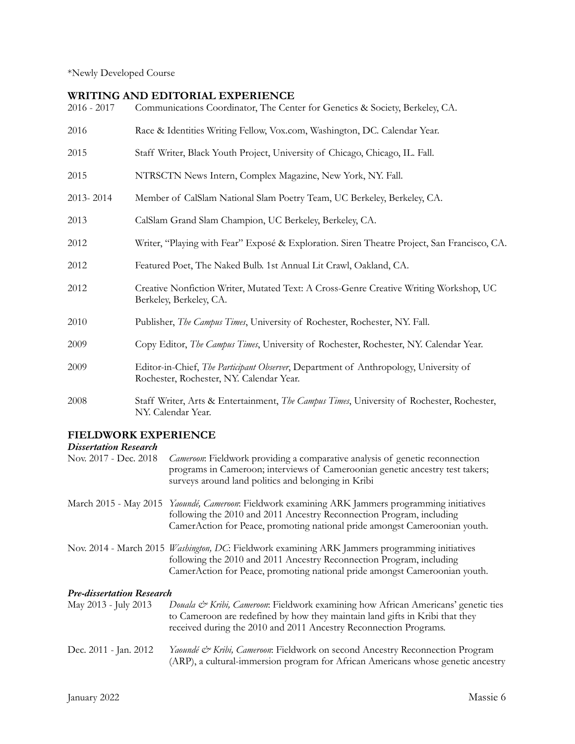\*Newly Developed Course

## **WRITING AND EDITORIAL EXPERIENCE**

| $2016 - 2017$ | Communications Coordinator, The Center for Genetics & Society, Berkeley, CA.                                                             |
|---------------|------------------------------------------------------------------------------------------------------------------------------------------|
| 2016          | Race & Identities Writing Fellow, Vox.com, Washington, DC. Calendar Year.                                                                |
| 2015          | Staff Writer, Black Youth Project, University of Chicago, Chicago, IL. Fall.                                                             |
| 2015          | NTRSCTN News Intern, Complex Magazine, New York, NY. Fall.                                                                               |
| 2013-2014     | Member of CalSlam National Slam Poetry Team, UC Berkeley, Berkeley, CA.                                                                  |
| 2013          | CalSlam Grand Slam Champion, UC Berkeley, Berkeley, CA.                                                                                  |
| 2012          | Writer, "Playing with Fear" Exposé & Exploration. Siren Theatre Project, San Francisco, CA.                                              |
| 2012          | Featured Poet, The Naked Bulb. 1st Annual Lit Crawl, Oakland, CA.                                                                        |
| 2012          | Creative Nonfiction Writer, Mutated Text: A Cross-Genre Creative Writing Workshop, UC<br>Berkeley, Berkeley, CA.                         |
| 2010          | Publisher, The Campus Times, University of Rochester, Rochester, NY. Fall.                                                               |
| 2009          | Copy Editor, The Campus Times, University of Rochester, Rochester, NY. Calendar Year.                                                    |
| 2009          | Editor-in-Chief, <i>The Participant Observer</i> , Department of Anthropology, University of<br>Rochester, Rochester, NY. Calendar Year. |
| 2008          | Staff Writer, Arts & Entertainment, The Campus Times, University of Rochester, Rochester,<br>NY. Calendar Year.                          |

# **FIELDWORK EXPERIENCE**

### *Dissertation Research*

| Nov. 2017 - Dec. 2018            | Cameroon: Fieldwork providing a comparative analysis of genetic reconnection<br>programs in Cameroon; interviews of Cameroonian genetic ancestry test takers;<br>surveys around land politics and belonging in Kribi                                   |
|----------------------------------|--------------------------------------------------------------------------------------------------------------------------------------------------------------------------------------------------------------------------------------------------------|
|                                  | March 2015 - May 2015 Yaoundé, Cameroon: Fieldwork examining ARK Jammers programming initiatives<br>following the 2010 and 2011 Ancestry Reconnection Program, including<br>CamerAction for Peace, promoting national pride amongst Cameroonian youth. |
|                                  | Nov. 2014 - March 2015 Washington, DC: Fieldwork examining ARK Jammers programming initiatives<br>following the 2010 and 2011 Ancestry Reconnection Program, including<br>CamerAction for Peace, promoting national pride amongst Cameroonian youth.   |
| <b>Pre-dissertation Research</b> |                                                                                                                                                                                                                                                        |
| May 2013 - July 2013             | Douala & Kribi, Cameroon: Fieldwork examining how African Americans' genetic ties<br>to Cameroon are redefined by how they maintain land gifts in Kribi that they<br>received during the 2010 and 2011 Ancestry Reconnection Programs.                 |
| Dec. 2011 - Jan. 2012            | Yaoundé & Kribi, Cameroon: Fieldwork on second Ancestry Reconnection Program<br>(ARP), a cultural-immersion program for African Americans whose genetic ancestry                                                                                       |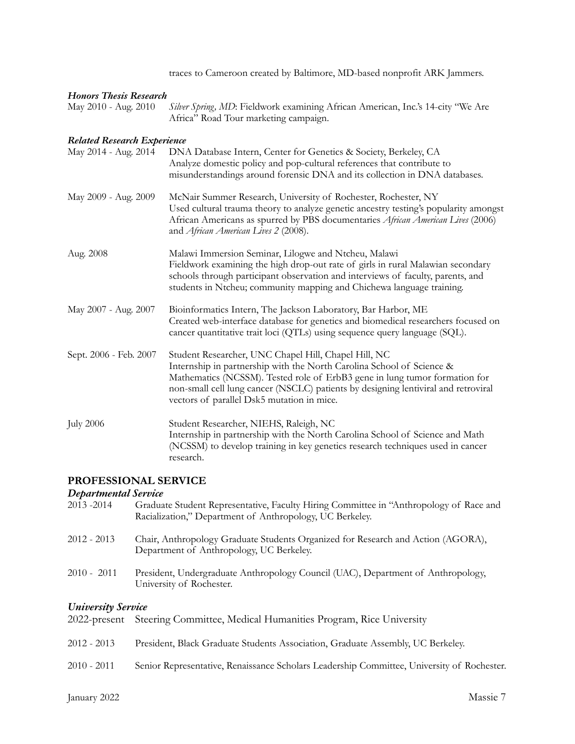traces to Cameroon created by Baltimore, MD-based nonprofit ARK Jammers.

### *Honors Thesis Research*

| May 2010 - Aug. 2010 Silver Spring, MD: Fieldwork examining African American, Inc.'s 14-city "We Are |
|------------------------------------------------------------------------------------------------------|
| Africa" Road Tour marketing campaign.                                                                |

### *Related Research Experience*

| May 2014 - Aug. 2014   | DNA Database Intern, Center for Genetics & Society, Berkeley, CA<br>Analyze domestic policy and pop-cultural references that contribute to<br>misunderstandings around forensic DNA and its collection in DNA databases.                                                                                                                        |
|------------------------|-------------------------------------------------------------------------------------------------------------------------------------------------------------------------------------------------------------------------------------------------------------------------------------------------------------------------------------------------|
| May 2009 - Aug. 2009   | McNair Summer Research, University of Rochester, Rochester, NY<br>Used cultural trauma theory to analyze genetic ancestry testing's popularity amongst<br>African Americans as spurred by PBS documentaries African American Lives (2006)<br>and African American Lives 2 (2008).                                                               |
| Aug. 2008              | Malawi Immersion Seminar, Lilogwe and Ntcheu, Malawi<br>Fieldwork examining the high drop-out rate of girls in rural Malawian secondary<br>schools through participant observation and interviews of faculty, parents, and<br>students in Ntcheu; community mapping and Chichewa language training.                                             |
| May 2007 - Aug. 2007   | Bioinformatics Intern, The Jackson Laboratory, Bar Harbor, ME<br>Created web-interface database for genetics and biomedical researchers focused on<br>cancer quantitative trait loci (QTLs) using sequence query language (SQL).                                                                                                                |
| Sept. 2006 - Feb. 2007 | Student Researcher, UNC Chapel Hill, Chapel Hill, NC<br>Internship in partnership with the North Carolina School of Science &<br>Mathematics (NCSSM). Tested role of ErbB3 gene in lung tumor formation for<br>non-small cell lung cancer (NSCLC) patients by designing lentiviral and retroviral<br>vectors of parallel Dsk5 mutation in mice. |
| <b>July 2006</b>       | Student Researcher, NIEHS, Raleigh, NC<br>Internship in partnership with the North Carolina School of Science and Math<br>(NCSSM) to develop training in key genetics research techniques used in cancer<br>research.                                                                                                                           |

### **PROFESSIONAL SERVICE**

*Departmental Service*

| 2013-2014                 | Graduate Student Representative, Faculty Hiring Committee in "Anthropology of Race and<br>Racialization," Department of Anthropology, UC Berkeley. |
|---------------------------|----------------------------------------------------------------------------------------------------------------------------------------------------|
| $2012 - 2013$             | Chair, Anthropology Graduate Students Organized for Research and Action (AGORA),<br>Department of Anthropology, UC Berkeley.                       |
| $2010 - 2011$             | President, Undergraduate Anthropology Council (UAC), Department of Anthropology,<br>University of Rochester.                                       |
|                           |                                                                                                                                                    |
| <b>University Service</b> |                                                                                                                                                    |
|                           | 2022-present Steering Committee, Medical Humanities Program, Rice University                                                                       |
|                           |                                                                                                                                                    |
| $2012 - 2013$             | President, Black Graduate Students Association, Graduate Assembly, UC Berkeley.                                                                    |
|                           |                                                                                                                                                    |
| $2010 - 2011$             | Senior Representative, Renaissance Scholars Leadership Committee, University of Rochester.                                                         |